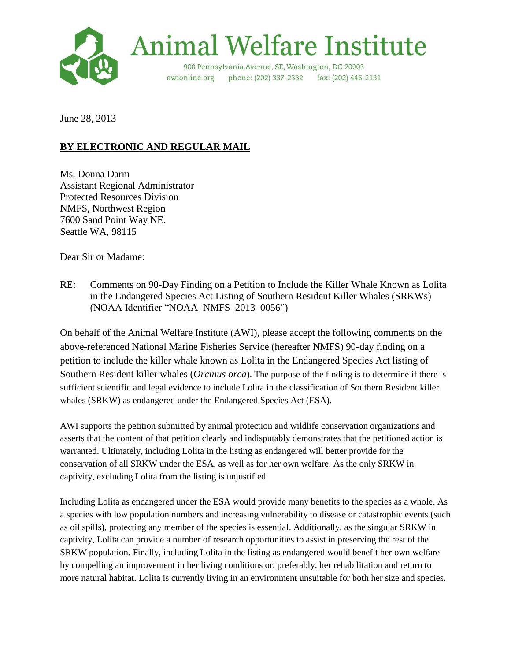

June 28, 2013

# **BY ELECTRONIC AND REGULAR MAIL**

Ms. Donna Darm Assistant Regional Administrator Protected Resources Division NMFS, Northwest Region 7600 Sand Point Way NE. Seattle WA, 98115

Dear Sir or Madame:

RE: Comments on 90-Day Finding on a Petition to Include the Killer Whale Known as Lolita in the Endangered Species Act Listing of Southern Resident Killer Whales (SRKWs) (NOAA Identifier "NOAA–NMFS–2013–0056")

On behalf of the Animal Welfare Institute (AWI), please accept the following comments on the above-referenced National Marine Fisheries Service (hereafter NMFS) 90-day finding on a petition to include the killer whale known as Lolita in the Endangered Species Act listing of Southern Resident killer whales (*Orcinus orca*). The purpose of the finding is to determine if there is sufficient scientific and legal evidence to include Lolita in the classification of Southern Resident killer whales (SRKW) as endangered under the Endangered Species Act (ESA).

AWI supports the petition submitted by animal protection and wildlife conservation organizations and asserts that the content of that petition clearly and indisputably demonstrates that the petitioned action is warranted. Ultimately, including Lolita in the listing as endangered will better provide for the conservation of all SRKW under the ESA, as well as for her own welfare. As the only SRKW in captivity, excluding Lolita from the listing is unjustified.

Including Lolita as endangered under the ESA would provide many benefits to the species as a whole. As a species with low population numbers and increasing vulnerability to disease or catastrophic events (such as oil spills), protecting any member of the species is essential. Additionally, as the singular SRKW in captivity, Lolita can provide a number of research opportunities to assist in preserving the rest of the SRKW population. Finally, including Lolita in the listing as endangered would benefit her own welfare by compelling an improvement in her living conditions or, preferably, her rehabilitation and return to more natural habitat. Lolita is currently living in an environment unsuitable for both her size and species.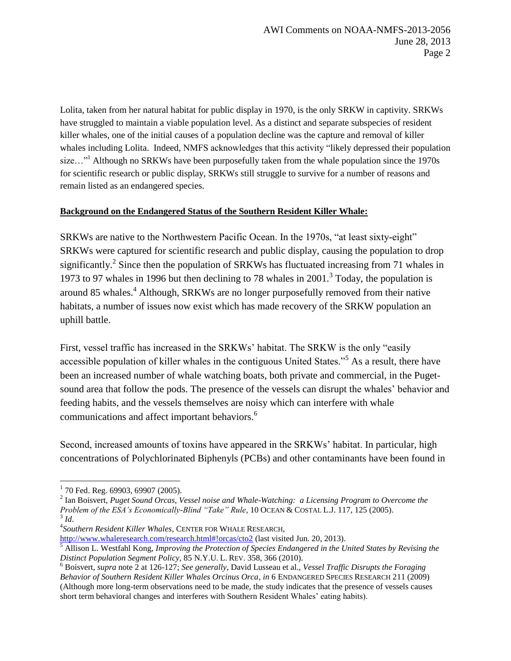Lolita, taken from her natural habitat for public display in 1970, is the only SRKW in captivity. SRKWs have struggled to maintain a viable population level. As a distinct and separate subspecies of resident killer whales, one of the initial causes of a population decline was the capture and removal of killer whales including Lolita. Indeed, NMFS acknowledges that this activity "likely depressed their population size..."<sup>1</sup> Although no SRKWs have been purposefully taken from the whale population since the 1970s for scientific research or public display, SRKWs still struggle to survive for a number of reasons and remain listed as an endangered species.

#### **Background on the Endangered Status of the Southern Resident Killer Whale:**

SRKWs are native to the Northwestern Pacific Ocean. In the 1970s, "at least sixty-eight" SRKWs were captured for scientific research and public display, causing the population to drop significantly.<sup>2</sup> Since then the population of SRKWs has fluctuated increasing from 71 whales in 1973 to 97 whales in 1996 but then declining to 78 whales in 2001.<sup>3</sup> Today, the population is around 85 whales. <sup>4</sup> Although, SRKWs are no longer purposefully removed from their native habitats, a number of issues now exist which has made recovery of the SRKW population an uphill battle.

First, vessel traffic has increased in the SRKWs' habitat. The SRKW is the only "easily accessible population of killer whales in the contiguous United States."<sup>5</sup> As a result, there have been an increased number of whale watching boats, both private and commercial, in the Pugetsound area that follow the pods. The presence of the vessels can disrupt the whales' behavior and feeding habits, and the vessels themselves are noisy which can interfere with whale communications and affect important behaviors. 6

Second, increased amounts of toxins have appeared in the SRKWs' habitat. In particular, high concentrations of Polychlorinated Biphenyls (PCBs) and other contaminants have been found in

<http://www.whaleresearch.com/research.html#!orcas/cto2> (last visited Jun. 20, 2013).

 $\overline{a}$  $1$  70 Fed. Reg. 69903, 69907 (2005).

<sup>2</sup> Ian Boisvert, *Puget Sound Orcas, Vessel noise and Whale-Watching: a Licensing Program to Overcome the Problem of the ESA's Economically-Blind "Take" Rule*, 10 OCEAN & COSTAL L.J. 117, 125 (2005). 3 *Id*.

<sup>4</sup> *Southern Resident Killer Whales*, CENTER FOR WHALE RESEARCH,

<sup>5</sup> Allison L. Westfahl Kong, *Improving the Protection of Species Endangered in the United States by Revising the Distinct Population Segment Policy*, 85 N.Y.U. L. REV. 358, 366 (2010).

<sup>6</sup> Boisvert, *supra* note 2 at 126-127; *See generally*, David Lusseau et al., *Vessel Traffic Disrupts the Foraging Behavior of Southern Resident Killer Whales Orcinus Orca*, *in* 6 ENDANGERED SPECIES RESEARCH 211 (2009) (Although more long-term observations need to be made, the study indicates that the presence of vessels causes short term behavioral changes and interferes with Southern Resident Whales' eating habits).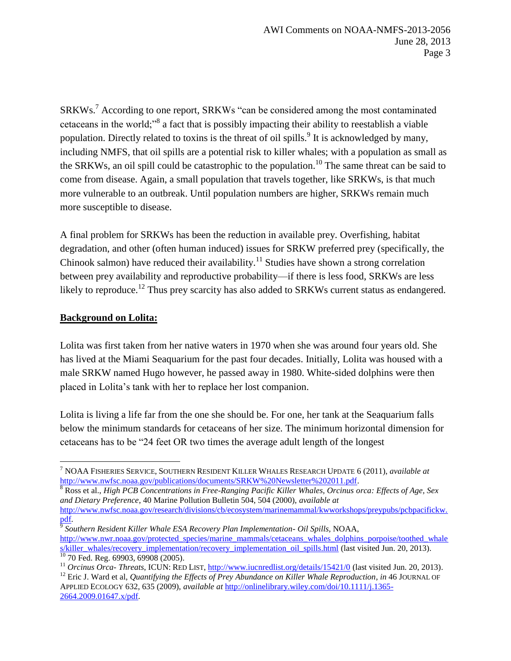SRKWs.<sup>7</sup> According to one report, SRKWs "can be considered among the most contaminated cetaceans in the world;"<sup>8</sup> a fact that is possibly impacting their ability to reestablish a viable population. Directly related to toxins is the threat of oil spills. <sup>9</sup> It is acknowledged by many, including NMFS, that oil spills are a potential risk to killer whales; with a population as small as the SRKWs, an oil spill could be catastrophic to the population.<sup>10</sup> The same threat can be said to come from disease. Again, a small population that travels together, like SRKWs, is that much more vulnerable to an outbreak. Until population numbers are higher, SRKWs remain much more susceptible to disease.

A final problem for SRKWs has been the reduction in available prey. Overfishing, habitat degradation, and other (often human induced) issues for SRKW preferred prey (specifically, the Chinook salmon) have reduced their availability.<sup>11</sup> Studies have shown a strong correlation between prey availability and reproductive probability—if there is less food, SRKWs are less likely to reproduce.<sup>12</sup> Thus prey scarcity has also added to SRKWs current status as endangered.

#### **Background on Lolita:**

 $\overline{a}$ 

Lolita was first taken from her native waters in 1970 when she was around four years old. She has lived at the Miami Seaquarium for the past four decades. Initially, Lolita was housed with a male SRKW named Hugo however, he passed away in 1980. White-sided dolphins were then placed in Lolita's tank with her to replace her lost companion.

Lolita is living a life far from the one she should be. For one, her tank at the Seaquarium falls below the minimum standards for cetaceans of her size. The minimum horizontal dimension for cetaceans has to be "24 feet OR two times the average adult length of the longest

[http://www.nwfsc.noaa.gov/research/divisions/cb/ecosystem/marinemammal/kwworkshops/preypubs/pcbpacifickw.](http://www.nwfsc.noaa.gov/research/divisions/cb/ecosystem/marinemammal/kwworkshops/preypubs/pcbpacifickw.pdf) [pdf.](http://www.nwfsc.noaa.gov/research/divisions/cb/ecosystem/marinemammal/kwworkshops/preypubs/pcbpacifickw.pdf)

9 *Southern Resident Killer Whale ESA Recovery Plan Implementation- Oil Spills,* NOAA, [http://www.nwr.noaa.gov/protected\\_species/marine\\_mammals/cetaceans\\_whales\\_dolphins\\_porpoise/toothed\\_whale](http://www.nwr.noaa.gov/protected_species/marine_mammals/cetaceans_whales_dolphins_porpoise/toothed_whales/killer_whales/recovery_implementation/recovery_implementation_oil_spills.html) [s/killer\\_whales/recovery\\_implementation/recovery\\_implementation\\_oil\\_spills.html](http://www.nwr.noaa.gov/protected_species/marine_mammals/cetaceans_whales_dolphins_porpoise/toothed_whales/killer_whales/recovery_implementation/recovery_implementation_oil_spills.html) (last visited Jun. 20, 2013).  $10$  70 Fed. Reg. 69903, 69908 (2005).

<sup>12</sup> Eric J. Ward et al, *Quantifying the Effects of Prey Abundance on Killer Whale Reproduction, in 46 JOURNAL OF* APPLIED ECOLOGY 632, 635 (2009), *available at* [http://onlinelibrary.wiley.com/doi/10.1111/j.1365-](http://onlinelibrary.wiley.com/doi/10.1111/j.1365-2664.2009.01647.x/pdf) [2664.2009.01647.x/pdf.](http://onlinelibrary.wiley.com/doi/10.1111/j.1365-2664.2009.01647.x/pdf)

<sup>7</sup> NOAA FISHERIES SERVICE, SOUTHERN RESIDENT KILLER WHALES RESEARCH UPDATE 6 (2011), *available at* [http://www.nwfsc.noaa.gov/publications/documents/SRKW%20Newsletter%202011.pdf.](http://www.nwfsc.noaa.gov/publications/documents/SRKW%20Newsletter%202011.pdf)

<sup>8</sup> Ross et al., *High PCB Concentrations in Free-Ranging Pacific Killer Whales, Orcinus orca: Effects of Age, Sex and Dietary Preference*, 40 Marine Pollution Bulletin 504, 504 (2000), *available at* 

<sup>&</sup>lt;sup>11</sup> *Orcinus Orca- Threats*, ICUN: RED LIST,<http://www.iucnredlist.org/details/15421/0> (last visited Jun. 20, 2013).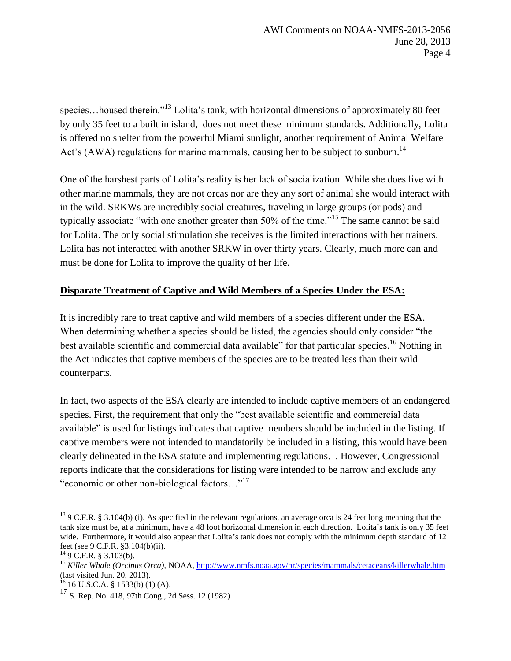species...housed therein."<sup>13</sup> Lolita's tank, with horizontal dimensions of approximately 80 feet by only 35 feet to a built in island, does not meet these minimum standards. Additionally, Lolita is offered no shelter from the powerful Miami sunlight, another requirement of Animal Welfare Act's (AWA) regulations for marine mammals, causing her to be subject to sunburn.<sup>14</sup>

One of the harshest parts of Lolita's reality is her lack of socialization. While she does live with other marine mammals, they are not orcas nor are they any sort of animal she would interact with in the wild. SRKWs are incredibly social creatures, traveling in large groups (or pods) and typically associate "with one another greater than 50% of the time."<sup>15</sup> The same cannot be said for Lolita. The only social stimulation she receives is the limited interactions with her trainers. Lolita has not interacted with another SRKW in over thirty years. Clearly, much more can and must be done for Lolita to improve the quality of her life.

## **Disparate Treatment of Captive and Wild Members of a Species Under the ESA:**

It is incredibly rare to treat captive and wild members of a species different under the ESA. When determining whether a species should be listed, the agencies should only consider "the best available scientific and commercial data available" for that particular species.<sup>16</sup> Nothing in the Act indicates that captive members of the species are to be treated less than their wild counterparts.

In fact, two aspects of the ESA clearly are intended to include captive members of an endangered species. First, the requirement that only the "best available scientific and commercial data available" is used for listings indicates that captive members should be included in the listing. If captive members were not intended to mandatorily be included in a listing, this would have been clearly delineated in the ESA statute and implementing regulations. . However, Congressional reports indicate that the considerations for listing were intended to be narrow and exclude any "economic or other non-biological factors…"<sup>17</sup>

<sup>&</sup>lt;sup>13</sup> 9 C.F.R. § 3.104(b) (i). As specified in the relevant regulations, an average orca is 24 feet long meaning that the tank size must be, at a minimum, have a 48 foot horizontal dimension in each direction. Lolita's tank is only 35 feet wide. Furthermore, it would also appear that Lolita's tank does not comply with the minimum depth standard of 12 feet (see 9 C.F.R. §3.104(b)(ii).

 $149$  C.F.R. § 3.103(b).

<sup>15</sup> *Killer Whale (Orcinus Orca)*, NOAA[, http://www.nmfs.noaa.gov/pr/species/mammals/cetaceans/killerwhale.htm](http://www.nmfs.noaa.gov/pr/species/mammals/cetaceans/killerwhale.htm) (last visited Jun. 20, 2013).

 $^{16}$  16 U.S.C.A. § 1533(b) (1) (A).

<sup>17</sup> S. Rep. No. 418, 97th Cong., 2d Sess. 12 (1982)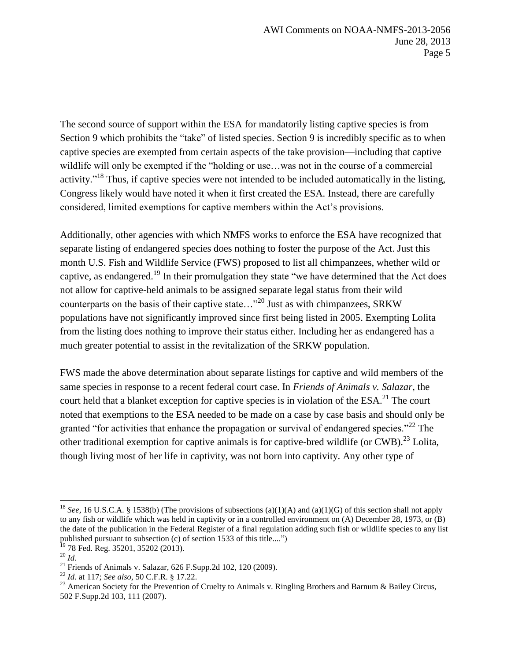The second source of support within the ESA for mandatorily listing captive species is from Section 9 which prohibits the "take" of listed species. Section 9 is incredibly specific as to when captive species are exempted from certain aspects of the take provision—including that captive wildlife will only be exempted if the "holding or use…was not in the course of a commercial activity."<sup>18</sup> Thus, if captive species were not intended to be included automatically in the listing, Congress likely would have noted it when it first created the ESA. Instead, there are carefully considered, limited exemptions for captive members within the Act's provisions.

Additionally, other agencies with which NMFS works to enforce the ESA have recognized that separate listing of endangered species does nothing to foster the purpose of the Act. Just this month U.S. Fish and Wildlife Service (FWS) proposed to list all chimpanzees, whether wild or captive, as endangered.<sup>19</sup> In their promulgation they state "we have determined that the Act does not allow for captive-held animals to be assigned separate legal status from their wild counterparts on the basis of their captive state…"<sup>20</sup> Just as with chimpanzees, SRKW populations have not significantly improved since first being listed in 2005. Exempting Lolita from the listing does nothing to improve their status either. Including her as endangered has a much greater potential to assist in the revitalization of the SRKW population.

FWS made the above determination about separate listings for captive and wild members of the same species in response to a recent federal court case. In *Friends of Animals v. Salazar*, the court held that a blanket exception for captive species is in violation of the ESA.<sup>21</sup> The court noted that exemptions to the ESA needed to be made on a case by case basis and should only be granted "for activities that enhance the propagation or survival of endangered species."<sup>22</sup> The other traditional exemption for captive animals is for captive-bred wildlife (or CWB).<sup>23</sup> Lolita, though living most of her life in captivity, was not born into captivity. Any other type of

<sup>18</sup> *See*, 16 U.S.C.A. § 1538(b) (The provisions of subsections (a)(1)(A) and (a)(1)(G) of this section shall not apply to any fish or wildlife which was held in captivity or in a controlled environment on (A) December 28, 1973, or (B) the date of the publication in the Federal Register of a final regulation adding such fish or wildlife species to any list published pursuant to [subsection \(c\) of section 1533](https://1.next.westlaw.com/Link/Document/FullText?findType=L&pubNum=1000546&cite=16USCAS1533&originationContext=document&transitionType=DocumentItem&contextData=%28sc.Category%29#co_pp_4b24000003ba5) of this title....")

<sup>78</sup> Fed. Reg. 35201, 35202 (2013).

<sup>20</sup> *Id*.

<sup>&</sup>lt;sup>21</sup> Friends of Animals v. Salazar,  $626$  F.Supp.2d 102, 120 (2009).

<sup>22</sup> *Id*. at 117; *See also*, 50 C.F.R. § 17.22.

<sup>&</sup>lt;sup>23</sup> American Society for the Prevention of Cruelty to Animals v. Ringling Brothers and Barnum & Bailey Circus, 502 F.Supp.2d 103, 111 (2007).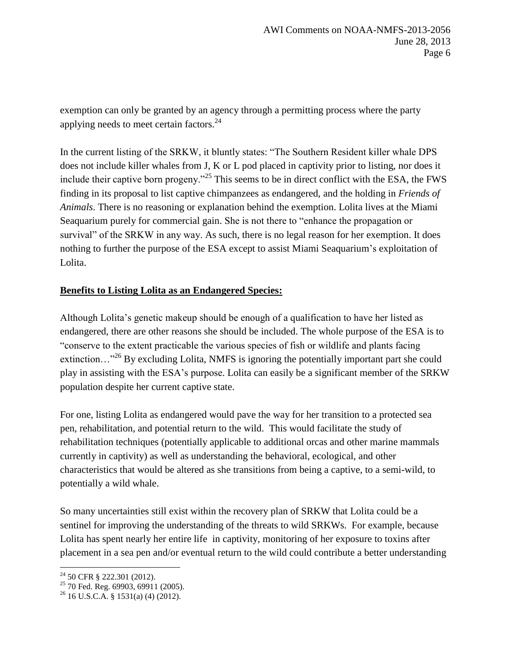exemption can only be granted by an agency through a permitting process where the party applying needs to meet certain factors.<sup>24</sup>

In the current listing of the SRKW, it bluntly states: "The Southern Resident killer whale DPS does not include killer whales from J, K or L pod placed in captivity prior to listing, nor does it include their captive born progeny."<sup>25</sup> This seems to be in direct conflict with the ESA, the FWS finding in its proposal to list captive chimpanzees as endangered, and the holding in *Friends of Animals*. There is no reasoning or explanation behind the exemption. Lolita lives at the Miami Seaquarium purely for commercial gain. She is not there to "enhance the propagation or survival" of the SRKW in any way. As such, there is no legal reason for her exemption. It does nothing to further the purpose of the ESA except to assist Miami Seaquarium's exploitation of Lolita.

## **Benefits to Listing Lolita as an Endangered Species:**

Although Lolita's genetic makeup should be enough of a qualification to have her listed as endangered, there are other reasons she should be included. The whole purpose of the ESA is to "conserve to the extent practicable the various species of fish or wildlife and plants facing extinction…"<sup>26</sup> By excluding Lolita, NMFS is ignoring the potentially important part she could play in assisting with the ESA's purpose. Lolita can easily be a significant member of the SRKW population despite her current captive state.

For one, listing Lolita as endangered would pave the way for her transition to a protected sea pen, rehabilitation, and potential return to the wild. This would facilitate the study of rehabilitation techniques (potentially applicable to additional orcas and other marine mammals currently in captivity) as well as understanding the behavioral, ecological, and other characteristics that would be altered as she transitions from being a captive, to a semi-wild, to potentially a wild whale.

So many uncertainties still exist within the recovery plan of SRKW that Lolita could be a sentinel for improving the understanding of the threats to wild SRKWs. For example, because Lolita has spent nearly her entire life in captivity, monitoring of her exposure to toxins after placement in a sea pen and/or eventual return to the wild could contribute a better understanding

<sup>24</sup> 50 CFR § 222.301 (2012).

 $^{25}$  70 Fed. Reg. 69903, 69911 (2005).

 $^{26}$  16 U.S.C.A. § 1531(a) (4) (2012).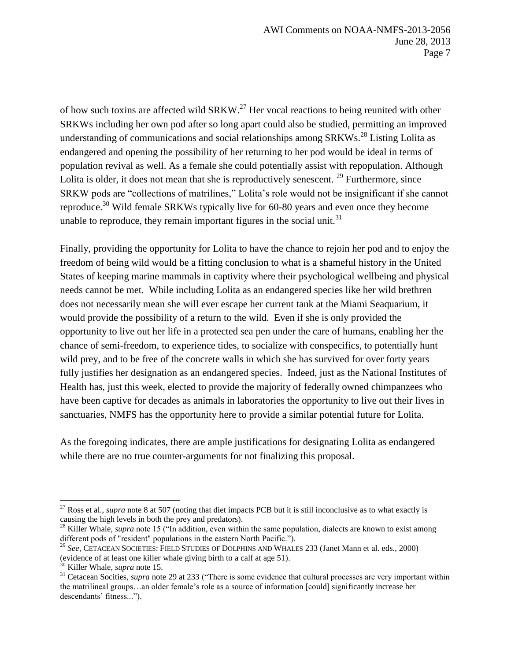of how such toxins are affected wild  $SRKW.<sup>27</sup>$  Her vocal reactions to being reunited with other SRKWs including her own pod after so long apart could also be studied, permitting an improved understanding of communications and social relationships among SRKWs.<sup>28</sup> Listing Lolita as endangered and opening the possibility of her returning to her pod would be ideal in terms of population revival as well. As a female she could potentially assist with repopulation. Although Lolita is older, it does not mean that she is reproductively senescent.  $29$  Furthermore, since SRKW pods are "collections of matrilines," Lolita's role would not be insignificant if she cannot reproduce.<sup>30</sup> Wild female SRKWs typically live for 60-80 years and even once they become unable to reproduce, they remain important figures in the social unit.<sup>31</sup>

Finally, providing the opportunity for Lolita to have the chance to rejoin her pod and to enjoy the freedom of being wild would be a fitting conclusion to what is a shameful history in the United States of keeping marine mammals in captivity where their psychological wellbeing and physical needs cannot be met. While including Lolita as an endangered species like her wild brethren does not necessarily mean she will ever escape her current tank at the Miami Seaquarium, it would provide the possibility of a return to the wild. Even if she is only provided the opportunity to live out her life in a protected sea pen under the care of humans, enabling her the chance of semi-freedom, to experience tides, to socialize with conspecifics, to potentially hunt wild prey, and to be free of the concrete walls in which she has survived for over forty years fully justifies her designation as an endangered species. Indeed, just as the National Institutes of Health has, just this week, elected to provide the majority of federally owned chimpanzees who have been captive for decades as animals in laboratories the opportunity to live out their lives in sanctuaries, NMFS has the opportunity here to provide a similar potential future for Lolita.

As the foregoing indicates, there are ample justifications for designating Lolita as endangered while there are no true counter-arguments for not finalizing this proposal.

<sup>&</sup>lt;sup>27</sup> Ross et al., *supra* note 8 at 507 (noting that diet impacts PCB but it is still inconclusive as to what exactly is causing the high levels in both the prey and predators).

<sup>&</sup>lt;sup>28</sup> Killer Whale, *supra* note 15 ("In addition, even within the same population, dialects are known to exist among different pods of "resident" populations in the eastern North Pacific.").

<sup>29</sup> *See*, CETACEAN SOCIETIES: FIELD STUDIES OF DOLPHINS AND WHALES 233 (Janet Mann et al. eds., 2000) (evidence of at least one killer whale giving birth to a calf at age 51).

<sup>30</sup> Killer Whale, *supra* note 15.

<sup>&</sup>lt;sup>31</sup> Cetacean Socities, *supra* note 29 at 233 ("There is some evidence that cultural processes are very important within the matrilineal groups…an older female's role as a source of information [could] significantly increase her descendants' fitness...").